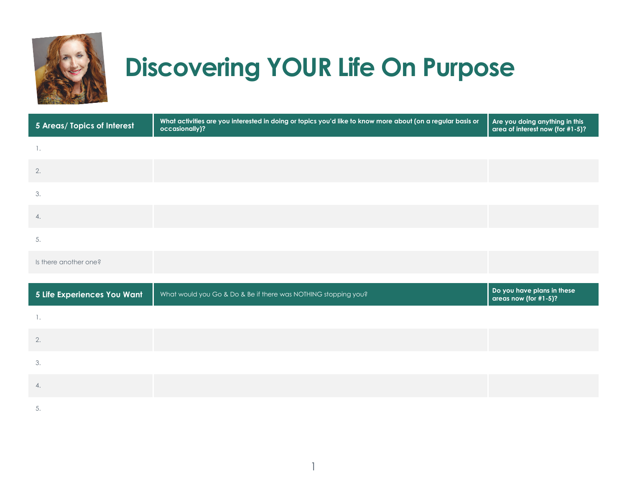

## **Discovering YOUR Life On Purpose**

| 5 Areas/ Topics of Interest | What activities are you interested in doing or topics you'd like to know more about (on a regular basis or<br>occasionally)? | Are you doing anything in this<br>area of interest now (for #1-5)? |
|-----------------------------|------------------------------------------------------------------------------------------------------------------------------|--------------------------------------------------------------------|
| $\overline{\phantom{a}}$ .  |                                                                                                                              |                                                                    |
| 2.                          |                                                                                                                              |                                                                    |
| 3.                          |                                                                                                                              |                                                                    |
| 4.                          |                                                                                                                              |                                                                    |
| 5.                          |                                                                                                                              |                                                                    |
| Is there another one?       |                                                                                                                              |                                                                    |
|                             |                                                                                                                              |                                                                    |
| 5 Life Experiences You Want | What would you Go & Do & Be if there was NOTHING stopping you?                                                               | Do you have plans in these<br>areas now (for #1-5)?                |
| 1.                          |                                                                                                                              |                                                                    |
| 2.                          |                                                                                                                              |                                                                    |
| 3.                          |                                                                                                                              |                                                                    |
| 4.                          |                                                                                                                              |                                                                    |
| 5.                          |                                                                                                                              |                                                                    |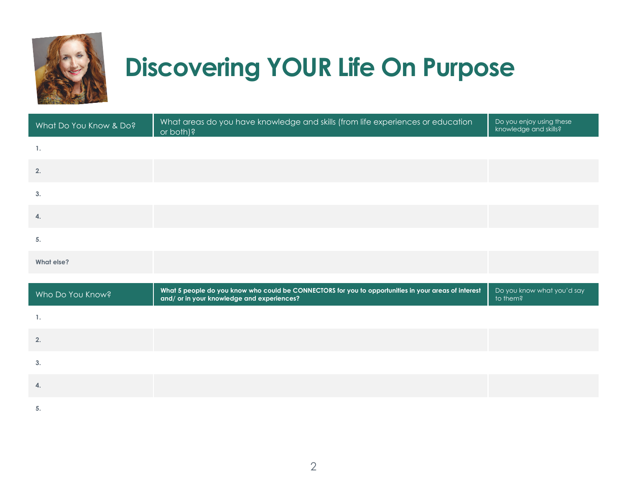

## **Discovering YOUR Life On Purpose**

| What Do You Know & Do? | What areas do you have knowledge and skills (from life experiences or education<br>or both)?                                                       | Do you enjoy using these<br>knowledge and skills? |
|------------------------|----------------------------------------------------------------------------------------------------------------------------------------------------|---------------------------------------------------|
| $\overline{1}$ .       |                                                                                                                                                    |                                                   |
| 2.                     |                                                                                                                                                    |                                                   |
| 3.                     |                                                                                                                                                    |                                                   |
| $\mathbf{4}$           |                                                                                                                                                    |                                                   |
| 5.                     |                                                                                                                                                    |                                                   |
| What else?             |                                                                                                                                                    |                                                   |
|                        |                                                                                                                                                    |                                                   |
| Who Do You Know?       | What 5 people do you know who could be CONNECTORS for you to opportunities in your areas of interest<br>and/ or in your knowledge and experiences? | Do you know what you'd say<br>to them?            |
| $\overline{1}$ .       |                                                                                                                                                    |                                                   |
| 2.                     |                                                                                                                                                    |                                                   |
| 3.                     |                                                                                                                                                    |                                                   |
| 4.                     |                                                                                                                                                    |                                                   |
| 5.                     |                                                                                                                                                    |                                                   |